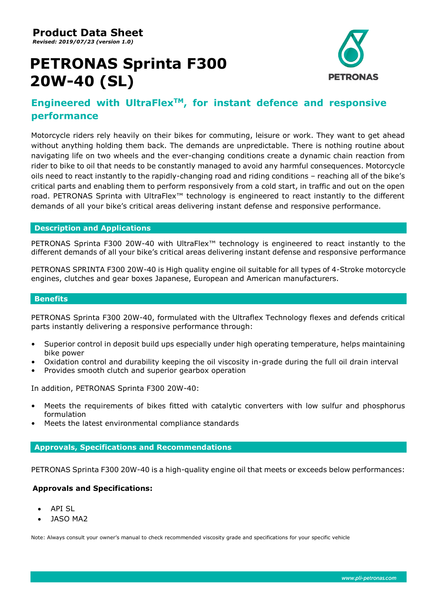# **PETRONAS Sprinta F300 20W-40 (SL)**



# **Engineered with UltraFlexTM, for instant defence and responsive performance**

Motorcycle riders rely heavily on their bikes for commuting, leisure or work. They want to get ahead without anything holding them back. The demands are unpredictable. There is nothing routine about navigating life on two wheels and the ever-changing conditions create a dynamic chain reaction from rider to bike to oil that needs to be constantly managed to avoid any harmful consequences. Motorcycle oils need to react instantly to the rapidly-changing road and riding conditions – reaching all of the bike's critical parts and enabling them to perform responsively from a cold start, in traffic and out on the open road. PETRONAS Sprinta with UltraFlex™ technology is engineered to react instantly to the different demands of all your bike's critical areas delivering instant defense and responsive performance.

## **Description and Applications**

PETRONAS Sprinta F300 20W-40 with UltraFlex<sup>™</sup> technology is engineered to react instantly to the different demands of all your bike's critical areas delivering instant defense and responsive performance

PETRONAS SPRINTA F300 20W-40 is High quality engine oil suitable for all types of 4-Stroke motorcycle engines, clutches and gear boxes Japanese, European and American manufacturers.

#### **Benefits**

PETRONAS Sprinta F300 20W-40, formulated with the Ultraflex Technology flexes and defends critical parts instantly delivering a responsive performance through:

- Superior control in deposit build ups especially under high operating temperature, helps maintaining bike power
- Oxidation control and durability keeping the oil viscosity in-grade during the full oil drain interval
- Provides smooth clutch and superior gearbox operation

In addition, PETRONAS Sprinta F300 20W-40:

- Meets the requirements of bikes fitted with catalytic converters with low sulfur and phosphorus formulation
- Meets the latest environmental compliance standards

## **Approvals, Specifications and Recommendations**

PETRONAS Sprinta F300 20W-40 is a high-quality engine oil that meets or exceeds below performances:

## **Approvals and Specifications:**

- API SL
- JASO MA2

Note: Always consult your owner's manual to check recommended viscosity grade and specifications for your specific vehicle